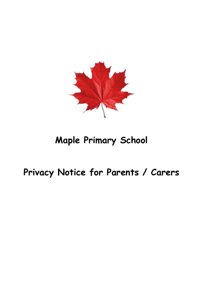

# **Maple Primary School**

# **Privacy Notice for Parents / Carers**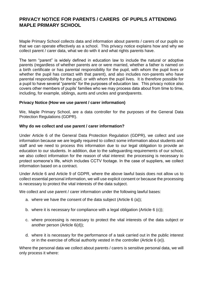# **PRIVACY NOTICE FOR PARENTS / CARERS OF PUPILS ATTENDING MAPLE PRIMARY SCHOOL**

Maple Primary School collects data and information about parents / carers of our pupils so that we can operate effectively as a school. This privacy notice explains how and why we collect parent / carer data, what we do with it and what rights parents have.

The term "parent" is widely defined in education law to include the natural or adoptive parents (regardless of whether parents are or were married, whether a father is named on a birth certificate or has parental responsibility for the pupil, with whom the pupil lives or whether the pupil has contact with that parent), and also includes non-parents who have parental responsibility for the pupil, or with whom the pupil lives. It is therefore possible for a pupil to have several "parents" for the purposes of education law. This privacy notice also covers other members of pupils' families who we may process data about from time to time, including, for example, siblings, aunts and uncles and grandparents.

#### **Privacy Notice (How we use parent / carer information)**

We, Maple Primary School, are a data controller for the purposes of the General Data Protection Regulations (GDPR).

#### **Why do we collect and use parent / carer information?**

Under Article 6 of the General Data Protection Regulation (GDPR), we collect and use information because we are legally required to collect some information about students and staff and we need to process this information due to our legal obligation to provide an education to our students. In addition, due to the safeguarding requirements of our school, we also collect information for the reason of vital interest: the processing is necessary to protect someone's life, which includes CCTV footage. In the case of suppliers, we collect information based on a contract.

Under Article 6 and Article 9 of GDPR, where the above lawful basis does not allow us to collect essential personal information, we will use explicit consent or because the processing is necessary to protect the vital interests of the data subject.

We collect and use parent / carer information under the following lawful bases:

- a. where we have the consent of the data subject (Article 6 (a));
- b. where it is necessary for compliance with a legal obligation (Article 6 (c));
- c. where processing is necessary to protect the vital interests of the data subject or another person (Article 6(d));
- d. where it is necessary for the performance of a task carried out in the public interest or in the exercise of official authority vested in the controller (Article 6 (e)).

Where the personal data we collect about parents / carers is sensitive personal data, we will only process it where: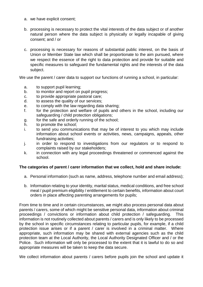- a. we have explicit consent;
- b. processing is necessary to protect the vital interests of the data subject or of another natural person where the data subject is physically or legally incapable of giving consent; and / or
- c. processing is necessary for reasons of substantial public interest, on the basis of Union or Member State law which shall be proportionate to the aim pursued, where we respect the essence of the right to data protection and provide for suitable and specific measures to safeguard the fundamental rights and the interests of the data subject.

We use the parent / carer data to support our functions of running a school, in particular:

- a. to support pupil learning;
- b. to monitor and report on pupil progress;
- c. to provide appropriate pastoral care;
- d. to assess the quality of our services;
- e. to comply with the law regarding data sharing;
- f. for the protection and welfare of pupils and others in the school, including our safeguarding / child protection obligations;
- g. for the safe and orderly running of the school;
- h. to promote the school;
- i. to send you communications that may be of interest to you which may include information about school events or activities, news, campaigns, appeals, other fundraising activities;
- j. in order to respond to investigations from our regulators or to respond to complaints raised by our stakeholders;
- k. in connection with any legal proceedings threatened or commenced against the school.

## **The categories of parent / carer information that we collect, hold and share include:**

- a. Personal information (such as name, address, telephone number and email address);
- b. Information relating to your identity, marital status, medical conditions, and free school meal / pupil premium eligibility / entitlement to certain benefits, information about court orders in place affecting parenting arrangements for pupils;

From time to time and in certain circumstances, we might also process personal data about parents / carers, some of which might be sensitive personal data, information about criminal proceedings / convictions or information about child protection / safeguarding. This information is not routinely collected about parents / carers and is only likely to be processed by the school in specific circumstances relating to particular pupils, for example, if a child protection issue arises or if a parent / carer is involved in a criminal matter. Where appropriate, such information may be shared with external agencies such as the child protection team at the Local Authority, the Local Authority Designated Officer and / or the Police. Such information will only be processed to the extent that it is lawful to do so and appropriate measures will be taken to keep the data secure.

We collect information about parents / carers before pupils join the school and update it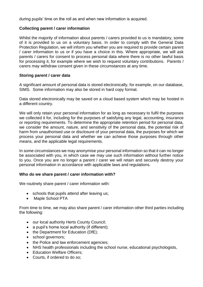during pupils' time on the roll as and when new information is acquired.

### **Collecting parent / carer information**

Whilst the majority of information about parents / carers provided to us is mandatory, some of it is provided to us on a voluntary basis. In order to comply with the General Data Protection Regulation, we will inform you whether you are required to provide certain parent / carer information to us or if you have a choice in this. Where appropriate, we will ask parents / carers for consent to process personal data where there is no other lawful basis for processing it, for example where we wish to request voluntary contributions. Parents / carers may withdraw consent given in these circumstances at any time.

#### **Storing parent / carer data**

A significant amount of personal data is stored electronically, for example, on our database, SIMS. Some information may also be stored in hard copy format.

Data stored electronically may be saved on a cloud based system which may be hosted in a different country.

We will only retain your personal information for as long as necessary to fulfil the purposes we collected it for, including for the purposes of satisfying any legal, accounting, insurance or reporting requirements. To determine the appropriate retention period for personal data, we consider the amount, nature, and sensitivity of the personal data, the potential risk of harm from unauthorised use or disclosure of your personal data, the purposes for which we process your personal data and whether we can achieve those purposes through other means, and the applicable legal requirements.

In some circumstances we may anonymise your personal information so that it can no longer be associated with you, in which case we may use such information without further notice to you. Once you are no longer a parent / carer we will retain and securely destroy your personal information in accordance with applicable laws and regulations.

#### **Who do we share parent / carer information with?**

We routinely share parent / carer information with:

- schools that pupils attend after leaving us;
- Maple School PTA

From time to time, we may also share parent / carer information other third parties including the following:

- our local authority Herts County Council;
- a pupil's home local authority (if different);
- the Department for Education (DfE);
- school governors;
- the Police and law enforcement agencies;
- NHS health professionals including the school nurse, educational psychologists,
- Education Welfare Officers:
- Courts, if ordered to do so;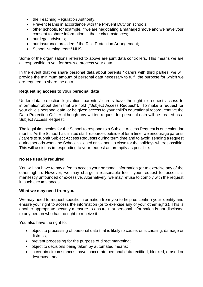- the Teaching Regulation Authority;
- Prevent teams in accordance with the Prevent Duty on schools;
- other schools, for example, if we are negotiating a managed move and we have your consent to share information in these circumstances;
- our legal advisors;
- our insurance providers / the Risk Protection Arrangement;
- School Nursing team/NHS

Some of the organisations referred to above are joint data controllers. This means we are all responsible to you for how we process your data.

In the event that we share personal data about parents / carers with third parties, we will provide the minimum amount of personal data necessary to fulfil the purpose for which we are required to share the data.

#### **Requesting access to your personal data**

Under data protection legislation, parents / carers have the right to request access to information about them that we hold ("Subject Access Request"). To make a request for your child's personal data, or be given access to your child's educational record, contact the Data Protection Officer although any written request for personal data will be treated as a Subject Access Request.

The legal timescales for the School to respond to a Subject Access Request is one calendar month. As the School has limited staff resources outside of term time, we encourage parents / carers to submit Subject Access Requests during term time and to avoid sending a request during periods when the School is closed or is about to close for the holidays where possible. This will assist us in responding to your request as promptly as possible.

#### **No fee usually required**

You will not have to pay a fee to access your personal information (or to exercise any of the other rights). However, we may charge a reasonable fee if your request for access is manifestly unfounded or excessive. Alternatively, we may refuse to comply with the request in such circumstances.

#### **What we may need from you**

We may need to request specific information from you to help us confirm your identity and ensure your right to access the information (or to exercise any of your other rights). This is another appropriate security measure to ensure that personal information is not disclosed to any person who has no right to receive it.

You also have the right to:

- object to processing of personal data that is likely to cause, or is causing, damage or distress;
- prevent processing for the purpose of direct marketing;
- object to decisions being taken by automated means;
- in certain circumstances, have inaccurate personal data rectified, blocked, erased or destroyed; and